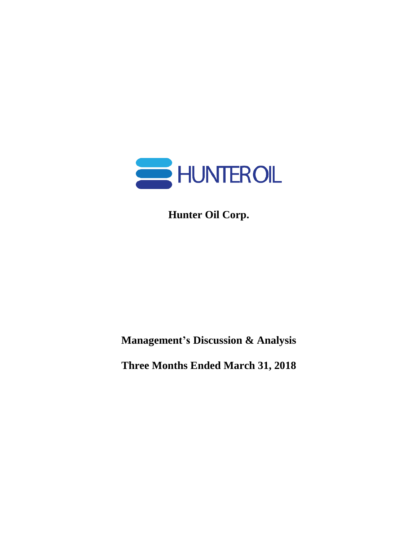

**Hunter Oil Corp.**

**Management's Discussion & Analysis**

**Three Months Ended March 31, 2018**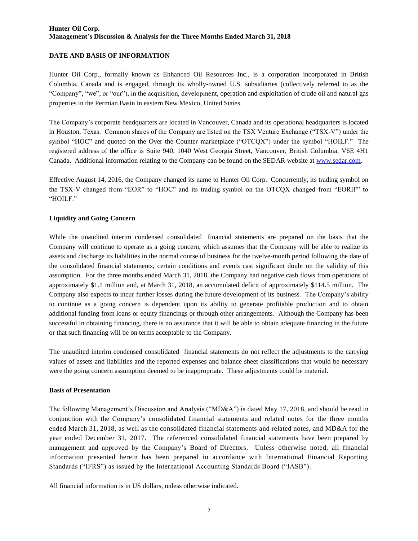## **DATE AND BASIS OF INFORMATION**

Hunter Oil Corp., formally known as Enhanced Oil Resources Inc., is a corporation incorporated in British Columbia, Canada and is engaged, through its wholly-owned U.S. subsidiaries (collectively referred to as the "Company", "we", or "our"), in the acquisition, development, operation and exploitation of crude oil and natural gas properties in the Permian Basin in eastern New Mexico, United States.

The Company's corporate headquarters are located in Vancouver, Canada and its operational headquarters is located in Houston, Texas. Common shares of the Company are listed on the TSX Venture Exchange ("TSX-V") under the symbol "HOC" and quoted on the Over the Counter marketplace ("OTCQX") under the symbol "HOILF." The registered address of the office is Suite 940, 1040 West Georgia Street, Vancouver, British Columbia, V6E 4H1 Canada. Additional information relating to the Company can be found on the SEDAR website at [www.sedar.com.](http://www.sedar.com/)

Effective August 14, 2016, the Company changed its name to Hunter Oil Corp. Concurrently, its trading symbol on the TSX-V changed from "EOR" to "HOC" and its trading symbol on the OTCQX changed from "EORIF" to "HOILF."

# **Liquidity and Going Concern**

While the unaudited interim condensed consolidated financial statements are prepared on the basis that the Company will continue to operate as a going concern, which assumes that the Company will be able to realize its assets and discharge its liabilities in the normal course of business for the twelve-month period following the date of the consolidated financial statements, certain conditions and events cast significant doubt on the validity of this assumption. For the three months ended March 31, 2018, the Company had negative cash flows from operations of approximately \$1.1 million and, at March 31, 2018, an accumulated deficit of approximately \$114.5 million. The Company also expects to incur further losses during the future development of its business. The Company's ability to continue as a going concern is dependent upon its ability to generate profitable production and to obtain additional funding from loans or equity financings or through other arrangements. Although the Company has been successful in obtaining financing, there is no assurance that it will be able to obtain adequate financing in the future or that such financing will be on terms acceptable to the Company.

The unaudited interim condensed consolidated financial statements do not reflect the adjustments to the carrying values of assets and liabilities and the reported expenses and balance sheet classifications that would be necessary were the going concern assumption deemed to be inappropriate. These adjustments could be material.

## **Basis of Presentation**

The following Management's Discussion and Analysis ("MD&A") is dated May 17, 2018, and should be read in conjunction with the Company's consolidated financial statements and related notes for the three months ended March 31, 2018, as well as the consolidated financial statements and related notes, and MD&A for the year ended December 31, 2017. The referenced consolidated financial statements have been prepared by management and approved by the Company's Board of Directors. Unless otherwise noted, all financial information presented herein has been prepared in accordance with International Financial Reporting Standards ("IFRS") as issued by the International Accounting Standards Board ("IASB").

All financial information is in US dollars, unless otherwise indicated.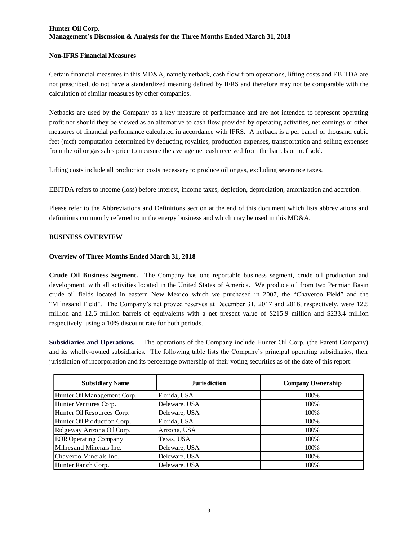## **Non-IFRS Financial Measures**

Certain financial measures in this MD&A, namely netback, cash flow from operations, lifting costs and EBITDA are not prescribed, do not have a standardized meaning defined by IFRS and therefore may not be comparable with the calculation of similar measures by other companies.

Netbacks are used by the Company as a key measure of performance and are not intended to represent operating profit nor should they be viewed as an alternative to cash flow provided by operating activities, net earnings or other measures of financial performance calculated in accordance with IFRS. A netback is a per barrel or thousand cubic feet (mcf) computation determined by deducting royalties, production expenses, transportation and selling expenses from the oil or gas sales price to measure the average net cash received from the barrels or mcf sold.

Lifting costs include all production costs necessary to produce oil or gas, excluding severance taxes.

EBITDA refers to income (loss) before interest, income taxes, depletion, depreciation, amortization and accretion.

Please refer to the Abbreviations and Definitions section at the end of this document which lists abbreviations and definitions commonly referred to in the energy business and which may be used in this MD&A.

#### **BUSINESS OVERVIEW**

#### **Overview of Three Months Ended March 31, 2018**

**Crude Oil Business Segment.** The Company has one reportable business segment, crude oil production and development, with all activities located in the United States of America. We produce oil from two Permian Basin crude oil fields located in eastern New Mexico which we purchased in 2007, the "Chaveroo Field" and the "Milnesand Field". The Company's net proved reserves at December 31, 2017 and 2016, respectively, were 12.5 million and 12.6 million barrels of equivalents with a net present value of \$215.9 million and \$233.4 million respectively, using a 10% discount rate for both periods.

**Subsidiaries and Operations.** The operations of the Company include Hunter Oil Corp. (the Parent Company) and its wholly-owned subsidiaries. The following table lists the Company's principal operating subsidiaries, their jurisdiction of incorporation and its percentage ownership of their voting securities as of the date of this report:

| <b>Subsidiary Name</b>       | <b>Jurisdiction</b> | <b>Company Ownership</b> |
|------------------------------|---------------------|--------------------------|
| Hunter Oil Management Corp.  | Florida, USA        | 100%                     |
| Hunter Ventures Corp.        | Deleware, USA       | 100%                     |
| Hunter Oil Resources Corp.   | Deleware, USA       | 100%                     |
| Hunter Oil Production Corp.  | Florida, USA        | 100%                     |
| Ridgeway Arizona Oil Corp.   | Arizona, USA        | 100%                     |
| <b>EOR Operating Company</b> | Texas, USA          | 100%                     |
| Milnes and Minerals Inc.     | Deleware, USA       | 100%                     |
| Chaveroo Minerals Inc.       | Deleware, USA       | 100%                     |
| Hunter Ranch Corp.           | Deleware, USA       | 100%                     |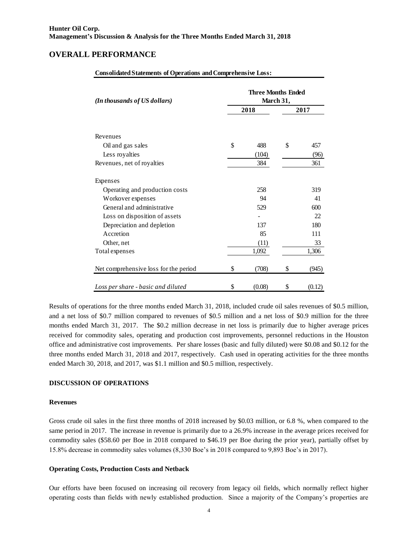# **OVERALL PERFORMANCE**

| (In thousands of US dollars)          | <b>Three Months Ended</b><br>March 31, |        |    |        |  |  |  |  |
|---------------------------------------|----------------------------------------|--------|----|--------|--|--|--|--|
|                                       |                                        | 2018   |    | 2017   |  |  |  |  |
| Revenues<br>Oil and gas sales         | \$                                     | 488    | \$ | 457    |  |  |  |  |
| Less royalties                        |                                        | (104)  |    | (96)   |  |  |  |  |
| Revenues, net of royalties            |                                        | 384    |    | 361    |  |  |  |  |
| Expenses                              |                                        |        |    |        |  |  |  |  |
| Operating and production costs        |                                        | 258    |    | 319    |  |  |  |  |
| Workover expenses                     |                                        | 94     |    | 41     |  |  |  |  |
| General and administrative            |                                        | 529    |    | 600    |  |  |  |  |
| Loss on disposition of assets         |                                        |        |    | 22     |  |  |  |  |
| Depreciation and depletion            |                                        | 137    |    | 180    |  |  |  |  |
| Accretion                             |                                        | 85     |    | 111    |  |  |  |  |
| Other, net                            |                                        | (11)   |    | 33     |  |  |  |  |
| Total expenses                        |                                        | 1,092  |    | 1,306  |  |  |  |  |
| Net comprehensive loss for the period | \$                                     | (708)  | \$ | (945)  |  |  |  |  |
| Loss per share - basic and diluted    | \$                                     | (0.08) | \$ | (0.12) |  |  |  |  |

#### **Consolidated Statements of Operations and Comprehensive Loss:**

Results of operations for the three months ended March 31, 2018, included crude oil sales revenues of \$0.5 million, and a net loss of \$0.7 million compared to revenues of \$0.5 million and a net loss of \$0.9 million for the three months ended March 31, 2017. The \$0.2 million decrease in net loss is primarily due to higher average prices received for commodity sales, operating and production cost improvements, personnel reductions in the Houston office and administrative cost improvements. Per share losses (basic and fully diluted) were \$0.08 and \$0.12 for the three months ended March 31, 2018 and 2017, respectively. Cash used in operating activities for the three months ended March 30, 2018, and 2017, was \$1.1 million and \$0.5 million, respectively.

## **DISCUSSION OF OPERATIONS**

#### **Revenues**

Gross crude oil sales in the first three months of 2018 increased by \$0.03 million, or 6.8 %, when compared to the same period in 2017. The increase in revenue is primarily due to a 26.9% increase in the average prices received for commodity sales (\$58.60 per Boe in 2018 compared to \$46.19 per Boe during the prior year), partially offset by 15.8% decrease in commodity sales volumes (8,330 Boe's in 2018 compared to 9,893 Boe's in 2017).

#### **Operating Costs, Production Costs and Netback**

Our efforts have been focused on increasing oil recovery from legacy oil fields, which normally reflect higher operating costs than fields with newly established production. Since a majority of the Company's properties are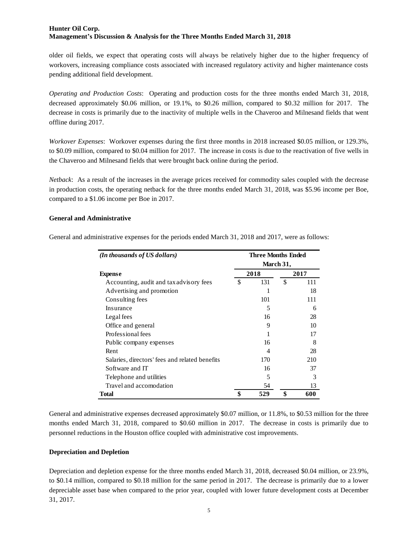older oil fields, we expect that operating costs will always be relatively higher due to the higher frequency of workovers, increasing compliance costs associated with increased regulatory activity and higher maintenance costs pending additional field development.

*Operating and Production Costs*: Operating and production costs for the three months ended March 31, 2018, decreased approximately \$0.06 million, or 19.1%, to \$0.26 million, compared to \$0.32 million for 2017. The decrease in costs is primarily due to the inactivity of multiple wells in the Chaveroo and Milnesand fields that went offline during 2017.

*Workover Expenses*: Workover expenses during the first three months in 2018 increased \$0.05 million, or 129.3%, to \$0.09 million, compared to \$0.04 million for 2017. The increase in costs is due to the reactivation of five wells in the Chaveroo and Milnesand fields that were brought back online during the period.

*Netback*: As a result of the increases in the average prices received for commodity sales coupled with the decrease in production costs, the operating netback for the three months ended March 31, 2018, was \$5.96 income per Boe, compared to a \$1.06 income per Boe in 2017.

## **General and Administrative**

| (In thousands of US dollars)                   |          | <b>Three Months Ended</b> |           |      |  |  |  |  |
|------------------------------------------------|----------|---------------------------|-----------|------|--|--|--|--|
|                                                |          |                           | March 31, |      |  |  |  |  |
| <b>Expense</b>                                 |          | 2018                      |           | 2017 |  |  |  |  |
| Accounting, audit and tax advisory fees        | \$       | 131                       | \$        | 111  |  |  |  |  |
| Advertising and promotion                      |          | 1                         |           | 18   |  |  |  |  |
| Consulting fees                                |          | 101                       |           | 111  |  |  |  |  |
| Insurance                                      |          | 5                         |           | 6    |  |  |  |  |
| Legal fees                                     |          | 16                        |           | 28   |  |  |  |  |
| Office and general                             |          | 9                         |           | 10   |  |  |  |  |
| Professional fees                              |          |                           |           | 17   |  |  |  |  |
| Public company expenses                        |          | 16                        |           | 8    |  |  |  |  |
| Rent                                           |          | 4                         |           | 28   |  |  |  |  |
| Salaries, directors' fees and related benefits |          | 170                       |           | 210  |  |  |  |  |
| Software and IT                                |          | 16                        |           | 37   |  |  |  |  |
| Telephone and utilities                        | 5        |                           |           |      |  |  |  |  |
| Travel and accomodation                        | 54<br>13 |                           |           |      |  |  |  |  |
| Total                                          | \$       | 529                       | \$        | 600  |  |  |  |  |

General and administrative expenses for the periods ended March 31, 2018 and 2017, were as follows:

General and administrative expenses decreased approximately \$0.07 million, or 11.8%, to \$0.53 million for the three months ended March 31, 2018, compared to \$0.60 million in 2017. The decrease in costs is primarily due to personnel reductions in the Houston office coupled with administrative cost improvements.

#### **Depreciation and Depletion**

Depreciation and depletion expense for the three months ended March 31, 2018, decreased \$0.04 million, or 23.9%, to \$0.14 million, compared to \$0.18 million for the same period in 2017. The decrease is primarily due to a lower depreciable asset base when compared to the prior year, coupled with lower future development costs at December 31, 2017.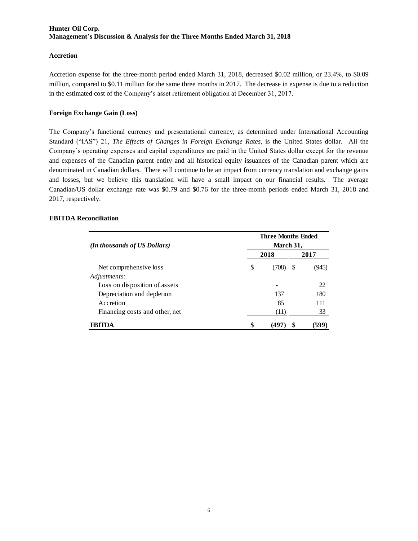## **Accretion**

Accretion expense for the three-month period ended March 31, 2018, decreased \$0.02 million, or 23.4%, to \$0.09 million, compared to \$0.11 million for the same three months in 2017. The decrease in expense is due to a reduction in the estimated cost of the Company's asset retirement obligation at December 31, 2017.

## **Foreign Exchange Gain (Loss)**

The Company's functional currency and presentational currency, as determined under International Accounting Standard ("IAS") 21, *The Effects of Changes in Foreign Exchange Rates*, is the United States dollar. All the Company's operating expenses and capital expenditures are paid in the United States dollar except for the revenue and expenses of the Canadian parent entity and all historical equity issuances of the Canadian parent which are denominated in Canadian dollars. There will continue to be an impact from currency translation and exchange gains and losses, but we believe this translation will have a small impact on our financial results. The average Canadian/US dollar exchange rate was \$0.79 and \$0.76 for the three-month periods ended March 31, 2018 and 2017, respectively.

# **EBITDA Reconciliation**

|                                | <b>Three Months Ended</b> |           |      |       |  |  |  |  |
|--------------------------------|---------------------------|-----------|------|-------|--|--|--|--|
| (In thousands of US Dollars)   |                           | March 31, |      |       |  |  |  |  |
|                                |                           | 2018      | 2017 |       |  |  |  |  |
| Net comprehensive loss         | \$                        | (708)     | -S   | (945) |  |  |  |  |
| Adjustments:                   |                           |           |      |       |  |  |  |  |
| Loss on disposition of assets  |                           |           |      | 22.   |  |  |  |  |
| Depreciation and depletion     |                           | 137       |      | 180   |  |  |  |  |
| Accretion                      |                           | 85        |      | 111   |  |  |  |  |
| Financing costs and other, net |                           | (11)      |      | 33    |  |  |  |  |
|                                | S                         |           |      | (599) |  |  |  |  |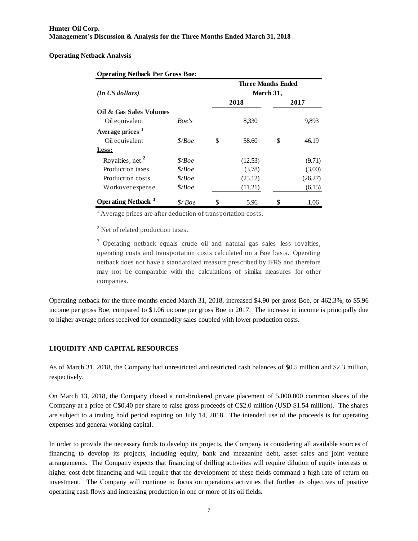**Operating Netback Analysis**

| Operating inethack Fer Gross Doe:     |                   |                           |      |         |  |
|---------------------------------------|-------------------|---------------------------|------|---------|--|
|                                       |                   | <b>Three Months Ended</b> |      |         |  |
| $(In$ US dollars)                     | March 31,         |                           |      |         |  |
|                                       |                   | 2018                      | 2017 |         |  |
| Oil & Gas Sales Volumes               |                   |                           |      |         |  |
| Oil equivalent                        | Boe's             | 8,330                     |      | 9,893   |  |
| Average prices <sup>1</sup>           |                   |                           |      |         |  |
| Oil equivalent                        | \$/Boe            | \$<br>58.60               | \$   | 46.19   |  |
| Less:                                 |                   |                           |      |         |  |
| Royalties, net <sup>2</sup>           | \$/Boe            | (12.53)                   |      | (9.71)  |  |
| Production taxes                      | $\mathcal{S}/Boe$ | (3.78)                    |      | (3.00)  |  |
| Production costs                      | $\mathcal{S}/Boe$ | (25.12)                   |      | (26.27) |  |
| Workover expense                      | \$/Boe            | (11.21)                   |      | (6.15)  |  |
| <b>Operating Netback</b> <sup>3</sup> | \$/Boe            | \$<br>5.96                | \$   | 1.06    |  |

**Operating Netback Per Gross Boe:**

<sup>1</sup> Average prices are after deduction of transportation costs.

 $2$  Net of related production taxes.

<sup>3</sup> Operating netback equals crude oil and natural gas sales less royalties, <sup>3</sup> Operating netback equals crude oil and natural gas sales less royalties,<br>operating costs and transportation costs calculated on a Boe basis. Operating  $3$  Operating netback equals crude oil and natural gas sales less royalties, operating costs and transportation costs calculated on a Boe basis. Operating netback does not have a standardized measure prescribed by IFRS an operating costs and transportation costs calculated on a Boe basis. Operating<br>netback does not have a standardized measure prescribed by IFRS and therefore<br>may not be comparable with the calculations of similar measures fo companies.

Operating netback for the three months ended March 31, 2018, increased \$4.90 per gross Boe, or 462.3%, to \$5.96 income per gross Boe, compared to \$1.06 income per gross Boe in 2017. The increase in income is principally due to higher average prices received for commodity sales coupled with lower production costs.

# **LIQUIDITY AND CAPITAL RESOURCES**

As of March 31, 2018, the Company had unrestricted and restricted cash balances of \$0.5 million and \$2.3 million, respectively.

On March 13, 2018, the Company closed a non-brokered private placement of 5,000,000 common shares of the Company at a price of C\$0.40 per share to raise gross proceeds of C\$2.0 million (USD \$1.54 million). The shares are subject to a trading hold period expiring on July 14, 2018. The intended use of the proceeds is for operating expenses and general working capital.

In order to provide the necessary funds to develop its projects, the Company is considering all available sources of financing to develop its projects, including equity, bank and mezzanine debt, asset sales and joint venture arrangements. The Company expects that financing of drilling activities will require dilution of equity interests or higher cost debt financing and will require that the development of these fields command a high rate of return on investment. The Company will continue to focus on operations activities that further its objectives of positive operating cash flows and increasing production in one or more of its oil fields.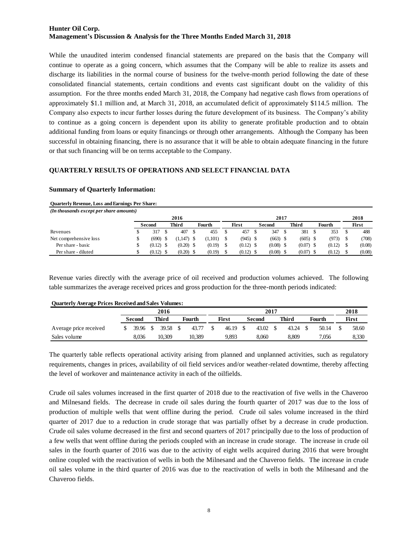While the unaudited interim condensed financial statements are prepared on the basis that the Company will continue to operate as a going concern, which assumes that the Company will be able to realize its assets and discharge its liabilities in the normal course of business for the twelve-month period following the date of these consolidated financial statements, certain conditions and events cast significant doubt on the validity of this assumption. For the three months ended March 31, 2018, the Company had negative cash flows from operations of approximately \$1.1 million and, at March 31, 2018, an accumulated deficit of approximately \$114.5 million. The Company also expects to incur further losses during the future development of its business. The Company's ability to continue as a going concern is dependent upon its ability to generate profitable production and to obtain additional funding from loans or equity financings or through other arrangements. Although the Company has been successful in obtaining financing, there is no assurance that it will be able to obtain adequate financing in the future or that such financing will be on terms acceptable to the Company.

#### **QUARTERLY RESULTS OF OPERATIONS AND SELECT FINANCIAL DATA**

#### **Summary of Quarterly Information:**

| <b>Ouarterly Revenue, Loss and Earnings Per Share:</b> |  |             |  |              |  |         |  |             |  |             |              |        |  |        |
|--------------------------------------------------------|--|-------------|--|--------------|--|---------|--|-------------|--|-------------|--------------|--------|--|--------|
| (In thousands except per share amounts)                |  |             |  |              |  |         |  |             |  |             |              |        |  |        |
| 2016                                                   |  |             |  |              |  |         |  |             |  | 2017        |              |        |  | 2018   |
|                                                        |  | Second      |  | Third        |  | Fourth  |  | First       |  | Second      | <b>Third</b> | Fourth |  | First  |
| Revenues                                               |  | 317         |  | 407          |  | 455     |  | 457 \$      |  | 347         | 381          | 353    |  | 488    |
| Net comprehensive loss                                 |  | $(690)$ \$  |  | $(1.147)$ \$ |  | (1,101) |  | (945) \$    |  | $(663)$ \$  | $(605)$ \$   | (973)  |  | (708)  |
| Per share - basic                                      |  | $(0.12)$ \$ |  | $(0.20)$ \$  |  | (0.19)  |  | $(0.12)$ \$ |  | $(0.08)$ \$ | $(0.07)$ \$  | (0.12) |  | (0.08) |
| Per share - diluted                                    |  | $(0.12)$ \$ |  | $(0.20)$ \$  |  | (0.19)  |  | $(0.12)$ \$ |  | $(0.08)$ \$ | $(0.07)$ \$  | (0.12) |  | (0.08) |

# Revenue varies directly with the average price of oil received and production volumes achieved. The following table summarizes the average received prices and gross production for the three-month periods indicated:

#### **Second Third Fourth First Second Third Fourth First** Average price received \$ 39.96 \$ 39.58 \$ 43.77 \$ 46.19 \$ 43.02 \$ 43.24 \$ 50.14 \$ 58.60 Sales volume 8,036 10,309 10,389 9,893 8,060 8,809 7,056 8,330 **2017 2016 2018**

#### **Quarterly Average Prices Received and Sales Volumes:**

The quarterly table reflects operational activity arising from planned and unplanned activities, such as regulatory requirements, changes in prices, availability of oil field services and/or weather-related downtime, thereby affecting the level of workover and maintenance activity in each of the oilfields.

Crude oil sales volumes increased in the first quarter of 2018 due to the reactivation of five wells in the Chaveroo and Milnesand fields. The decrease in crude oil sales during the fourth quarter of 2017 was due to the loss of production of multiple wells that went offline during the period. Crude oil sales volume increased in the third quarter of 2017 due to a reduction in crude storage that was partially offset by a decrease in crude production. Crude oil sales volume decreased in the first and second quarters of 2017 principally due to the loss of production of a few wells that went offline during the periods coupled with an increase in crude storage. The increase in crude oil sales in the fourth quarter of 2016 was due to the activity of eight wells acquired during 2016 that were brought online coupled with the reactivation of wells in both the Milnesand and the Chaveroo fields. The increase in crude oil sales volume in the third quarter of 2016 was due to the reactivation of wells in both the Milnesand and the Chaveroo fields.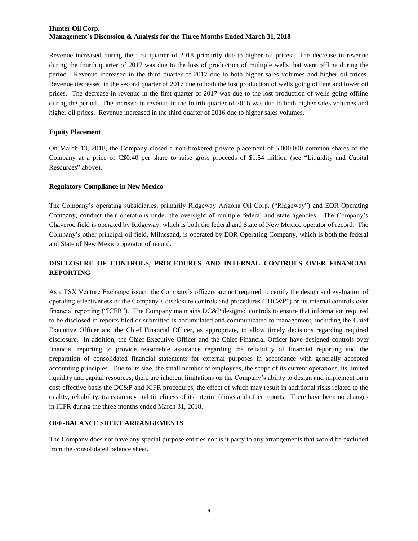Revenue increased during the first quarter of 2018 primarily due to higher oil prices. The decrease in revenue during the fourth quarter of 2017 was due to the loss of production of multiple wells that went offline during the period. Revenue increased in the third quarter of 2017 due to both higher sales volumes and higher oil prices. Revenue decreased in the second quarter of 2017 due to both the lost production of wells going offline and lower oil prices. The decrease in revenue in the first quarter of 2017 was due to the lost production of wells going offline during the period. The increase in revenue in the fourth quarter of 2016 was due to both higher sales volumes and higher oil prices. Revenue increased in the third quarter of 2016 due to higher sales volumes.

## **Equity Placement**

On March 13, 2018, the Company closed a non-brokered private placement of 5,000,000 common shares of the Company at a price of C\$0.40 per share to raise gross proceeds of \$1.54 million (see "Liquidity and Capital Resources" above).

# **Regulatory Compliance in New Mexico**

The Company's operating subsidiaries, primarily Ridgeway Arizona Oil Corp. ("Ridgeway") and EOR Operating Company, conduct their operations under the oversight of multiple federal and state agencies. The Company's Chaveroo field is operated by Ridgeway, which is both the federal and State of New Mexico operator of record. The Company's other principal oil field, Milnesand, is operated by EOR Operating Company, which is both the federal and State of New Mexico operator of record.

# **DISCLOSURE OF CONTROLS, PROCEDURES AND INTERNAL CONTROLS OVER FINANCIAL REPORTING**

As a TSX Venture Exchange issuer, the Company's officers are not required to certify the design and evaluation of operating effectiveness of the Company's disclosure controls and procedures ("DC&P") or its internal controls over financial reporting ("ICFR"). The Company maintains DC&P designed controls to ensure that information required to be disclosed in reports filed or submitted is accumulated and communicated to management, including the Chief Executive Officer and the Chief Financial Officer, as appropriate, to allow timely decisions regarding required disclosure. In addition, the Chief Executive Officer and the Chief Financial Officer have designed controls over financial reporting to provide reasonable assurance regarding the reliability of financial reporting and the preparation of consolidated financial statements for external purposes in accordance with generally accepted accounting principles. Due to its size, the small number of employees, the scope of its current operations, its limited liquidity and capital resources, there are inherent limitations on the Company's ability to design and implement on a cost-effective basis the DC&P and ICFR procedures, the effect of which may result in additional risks related to the quality, reliability, transparency and timeliness of its interim filings and other reports. There have been no changes in ICFR during the three months ended March 31, 2018.

# **OFF-BALANCE SHEET ARRANGEMENTS**

The Company does not have any special purpose entities nor is it party to any arrangements that would be excluded from the consolidated balance sheet.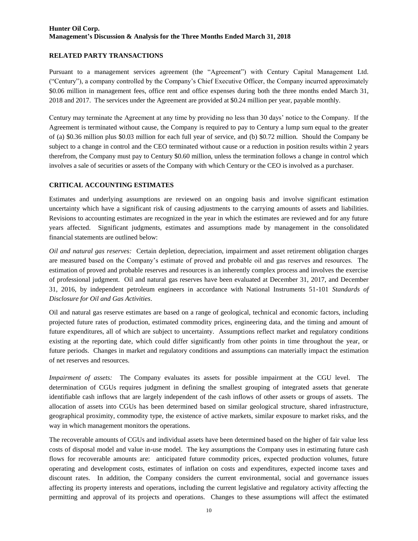## **RELATED PARTY TRANSACTIONS**

Pursuant to a management services agreement (the "Agreement") with Century Capital Management Ltd. ("Century"), a company controlled by the Company's Chief Executive Officer, the Company incurred approximately \$0.06 million in management fees, office rent and office expenses during both the three months ended March 31, 2018 and 2017. The services under the Agreement are provided at \$0.24 million per year, payable monthly.

Century may terminate the Agreement at any time by providing no less than 30 days' notice to the Company. If the Agreement is terminated without cause, the Company is required to pay to Century a lump sum equal to the greater of (a) \$0.36 million plus \$0.03 million for each full year of service, and (b) \$0.72 million. Should the Company be subject to a change in control and the CEO terminated without cause or a reduction in position results within 2 years therefrom, the Company must pay to Century \$0.60 million, unless the termination follows a change in control which involves a sale of securities or assets of the Company with which Century or the CEO is involved as a purchaser.

#### **CRITICAL ACCOUNTING ESTIMATES**

Estimates and underlying assumptions are reviewed on an ongoing basis and involve significant estimation uncertainty which have a significant risk of causing adjustments to the carrying amounts of assets and liabilities. Revisions to accounting estimates are recognized in the year in which the estimates are reviewed and for any future years affected. Significant judgments, estimates and assumptions made by management in the consolidated financial statements are outlined below:

*Oil and natural gas reserves:* Certain depletion, depreciation, impairment and asset retirement obligation charges are measured based on the Company's estimate of proved and probable oil and gas reserves and resources. The estimation of proved and probable reserves and resources is an inherently complex process and involves the exercise of professional judgment. Oil and natural gas reserves have been evaluated at December 31, 2017, and December 31, 2016, by independent petroleum engineers in accordance with National Instruments 51-101 *Standards of Disclosure for Oil and Gas Activities*.

Oil and natural gas reserve estimates are based on a range of geological, technical and economic factors, including projected future rates of production, estimated commodity prices, engineering data, and the timing and amount of future expenditures, all of which are subject to uncertainty. Assumptions reflect market and regulatory conditions existing at the reporting date, which could differ significantly from other points in time throughout the year, or future periods. Changes in market and regulatory conditions and assumptions can materially impact the estimation of net reserves and resources.

*Impairment of assets:* The Company evaluates its assets for possible impairment at the CGU level. The determination of CGUs requires judgment in defining the smallest grouping of integrated assets that generate identifiable cash inflows that are largely independent of the cash inflows of other assets or groups of assets. The allocation of assets into CGUs has been determined based on similar geological structure, shared infrastructure, geographical proximity, commodity type, the existence of active markets, similar exposure to market risks, and the way in which management monitors the operations.

The recoverable amounts of CGUs and individual assets have been determined based on the higher of fair value less costs of disposal model and value in-use model. The key assumptions the Company uses in estimating future cash flows for recoverable amounts are: anticipated future commodity prices, expected production volumes, future operating and development costs, estimates of inflation on costs and expenditures, expected income taxes and discount rates. In addition, the Company considers the current environmental, social and governance issues affecting its property interests and operations, including the current legislative and regulatory activity affecting the permitting and approval of its projects and operations. Changes to these assumptions will affect the estimated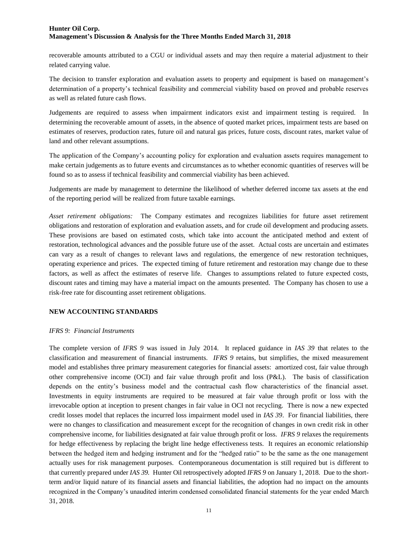recoverable amounts attributed to a CGU or individual assets and may then require a material adjustment to their related carrying value.

The decision to transfer exploration and evaluation assets to property and equipment is based on management's determination of a property's technical feasibility and commercial viability based on proved and probable reserves as well as related future cash flows.

Judgements are required to assess when impairment indicators exist and impairment testing is required. In determining the recoverable amount of assets, in the absence of quoted market prices, impairment tests are based on estimates of reserves, production rates, future oil and natural gas prices, future costs, discount rates, market value of land and other relevant assumptions.

The application of the Company's accounting policy for exploration and evaluation assets requires management to make certain judgements as to future events and circumstances as to whether economic quantities of reserves will be found so as to assess if technical feasibility and commercial viability has been achieved.

Judgements are made by management to determine the likelihood of whether deferred income tax assets at the end of the reporting period will be realized from future taxable earnings.

*Asset retirement obligations:* The Company estimates and recognizes liabilities for future asset retirement obligations and restoration of exploration and evaluation assets, and for crude oil development and producing assets. These provisions are based on estimated costs, which take into account the anticipated method and extent of restoration, technological advances and the possible future use of the asset. Actual costs are uncertain and estimates can vary as a result of changes to relevant laws and regulations, the emergence of new restoration techniques, operating experience and prices. The expected timing of future retirement and restoration may change due to these factors, as well as affect the estimates of reserve life. Changes to assumptions related to future expected costs, discount rates and timing may have a material impact on the amounts presented. The Company has chosen to use a risk-free rate for discounting asset retirement obligations.

## **NEW ACCOUNTING STANDARDS**

#### *IFRS 9: Financial Instruments*

The complete version of *IFRS 9* was issued in July 2014. It replaced guidance in *IAS 39* that relates to the classification and measurement of financial instruments. *IFRS 9* retains, but simplifies, the mixed measurement model and establishes three primary measurement categories for financial assets: amortized cost, fair value through other comprehensive income (OCI) and fair value through profit and loss (P&L). The basis of classification depends on the entity's business model and the contractual cash flow characteristics of the financial asset. Investments in equity instruments are required to be measured at fair value through profit or loss with the irrevocable option at inception to present changes in fair value in OCI not recycling. There is now a new expected credit losses model that replaces the incurred loss impairment model used in *IAS 39*. For financial liabilities, there were no changes to classification and measurement except for the recognition of changes in own credit risk in other comprehensive income, for liabilities designated at fair value through profit or loss. *IFRS 9* relaxes the requirements for hedge effectiveness by replacing the bright line hedge effectiveness tests. It requires an economic relationship between the hedged item and hedging instrument and for the "hedged ratio" to be the same as the one management actually uses for risk management purposes. Contemporaneous documentation is still required but is different to that currently prepared under *IAS 39.* Hunter Oil retrospectively adopted *IFRS 9* on January 1, 2018. Due to the shortterm and/or liquid nature of its financial assets and financial liabilities, the adoption had no impact on the amounts recognized in the Company's unaudited interim condensed consolidated financial statements for the year ended March 31, 2018.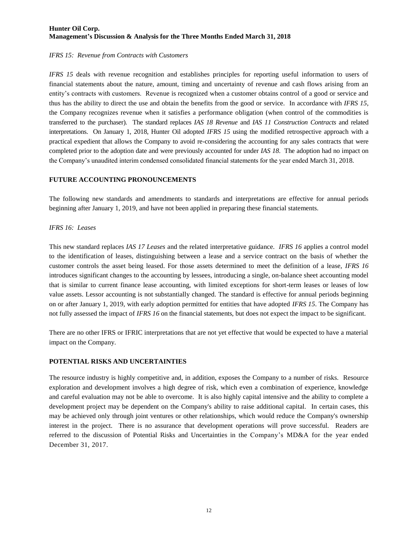## *IFRS 15: Revenue from Contracts with Customers*

*IFRS 15* deals with revenue recognition and establishes principles for reporting useful information to users of financial statements about the nature, amount, timing and uncertainty of revenue and cash flows arising from an entity's contracts with customers. Revenue is recognized when a customer obtains control of a good or service and thus has the ability to direct the use and obtain the benefits from the good or service. In accordance with *IFRS 15*, the Company recognizes revenue when it satisfies a performance obligation (when control of the commodities is transferred to the purchaser). The standard replaces *IAS 18 Revenue* and *IAS 11 Construction Contracts* and related interpretations. On January 1, 2018, Hunter Oil adopted *IFRS 15* using the modified retrospective approach with a practical expedient that allows the Company to avoid re-considering the accounting for any sales contracts that were completed prior to the adoption date and were previously accounted for under *IAS 18*. The adoption had no impact on the Company's unaudited interim condensed consolidated financial statements for the year ended March 31, 2018.

# **FUTURE ACCOUNTING PRONOUNCEMENTS**

The following new standards and amendments to standards and interpretations are effective for annual periods beginning after January 1, 2019, and have not been applied in preparing these financial statements.

# *IFRS 16: Leases*

This new standard replaces *IAS 17 Leases* and the related interpretative guidance. *IFRS 16* applies a control model to the identification of leases, distinguishing between a lease and a service contract on the basis of whether the customer controls the asset being leased. For those assets determined to meet the definition of a lease, *IFRS 16* introduces significant changes to the accounting by lessees, introducing a single, on-balance sheet accounting model that is similar to current finance lease accounting, with limited exceptions for short-term leases or leases of low value assets. Lessor accounting is not substantially changed. The standard is effective for annual periods beginning on or after January 1, 2019, with early adoption permitted for entities that have adopted *IFRS 15*. The Company has not fully assessed the impact of *IFRS 16* on the financial statements, but does not expect the impact to be significant.

There are no other IFRS or IFRIC interpretations that are not yet effective that would be expected to have a material impact on the Company.

## **POTENTIAL RISKS AND UNCERTAINTIES**

The resource industry is highly competitive and, in addition, exposes the Company to a number of risks. Resource exploration and development involves a high degree of risk, which even a combination of experience, knowledge and careful evaluation may not be able to overcome. It is also highly capital intensive and the ability to complete a development project may be dependent on the Company's ability to raise additional capital. In certain cases, this may be achieved only through joint ventures or other relationships, which would reduce the Company's ownership interest in the project. There is no assurance that development operations will prove successful. Readers are referred to the discussion of Potential Risks and Uncertainties in the Company's MD&A for the year ended December 31, 2017.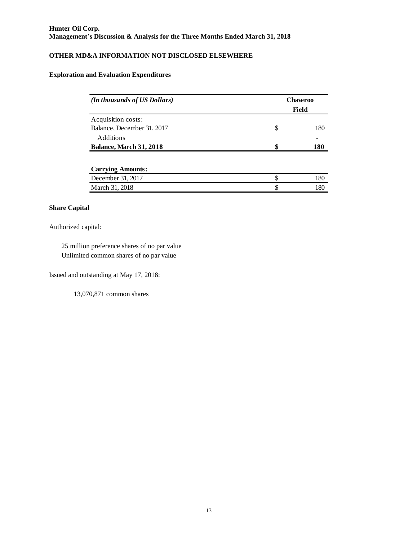# **OTHER MD&A INFORMATION NOT DISCLOSED ELSEWHERE**

## **Exploration and Evaluation Expenditures**

| <b>Chaveroo</b><br>Field |
|--------------------------|
|                          |
| \$<br>180                |
|                          |
| \$<br>180                |
|                          |
|                          |
| \$<br>180                |
| \$<br>180                |
|                          |

# **Share Capital**

Authorized capital:

25 million preference shares of no par value Unlimited common shares of no par value

Issued and outstanding at May 17, 2018:

13,070,871 common shares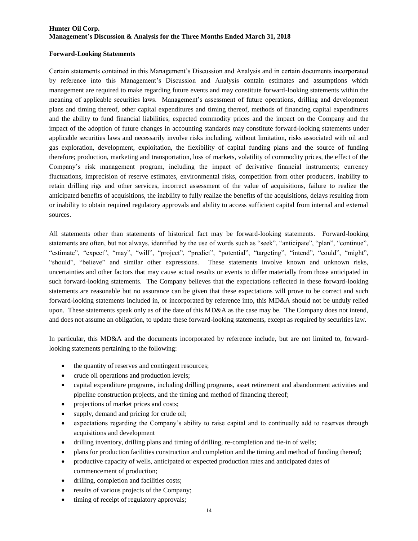#### **Forward-Looking Statements**

Certain statements contained in this Management's Discussion and Analysis and in certain documents incorporated by reference into this Management's Discussion and Analysis contain estimates and assumptions which management are required to make regarding future events and may constitute forward-looking statements within the meaning of applicable securities laws. Management's assessment of future operations, drilling and development plans and timing thereof, other capital expenditures and timing thereof, methods of financing capital expenditures and the ability to fund financial liabilities, expected commodity prices and the impact on the Company and the impact of the adoption of future changes in accounting standards may constitute forward-looking statements under applicable securities laws and necessarily involve risks including, without limitation, risks associated with oil and gas exploration, development, exploitation, the flexibility of capital funding plans and the source of funding therefore; production, marketing and transportation, loss of markets, volatility of commodity prices, the effect of the Company's risk management program, including the impact of derivative financial instruments; currency fluctuations, imprecision of reserve estimates, environmental risks, competition from other producers, inability to retain drilling rigs and other services, incorrect assessment of the value of acquisitions, failure to realize the anticipated benefits of acquisitions, the inability to fully realize the benefits of the acquisitions, delays resulting from or inability to obtain required regulatory approvals and ability to access sufficient capital from internal and external sources.

All statements other than statements of historical fact may be forward-looking statements. Forward-looking statements are often, but not always, identified by the use of words such as "seek", "anticipate", "plan", "continue", "estimate", "expect", "may", "will", "project", "predict", "potential", "targeting", "intend", "could", "might", "should", "believe" and similar other expressions. These statements involve known and unknown risks, uncertainties and other factors that may cause actual results or events to differ materially from those anticipated in such forward-looking statements. The Company believes that the expectations reflected in these forward-looking statements are reasonable but no assurance can be given that these expectations will prove to be correct and such forward-looking statements included in, or incorporated by reference into, this MD&A should not be unduly relied upon. These statements speak only as of the date of this MD&A as the case may be. The Company does not intend, and does not assume an obligation, to update these forward-looking statements, except as required by securities law.

In particular, this MD&A and the documents incorporated by reference include, but are not limited to, forwardlooking statements pertaining to the following:

- the quantity of reserves and contingent resources;
- crude oil operations and production levels;
- capital expenditure programs, including drilling programs, asset retirement and abandonment activities and pipeline construction projects, and the timing and method of financing thereof;
- projections of market prices and costs;
- supply, demand and pricing for crude oil;
- expectations regarding the Company's ability to raise capital and to continually add to reserves through acquisitions and development
- drilling inventory, drilling plans and timing of drilling, re-completion and tie-in of wells;
- plans for production facilities construction and completion and the timing and method of funding thereof;
- productive capacity of wells, anticipated or expected production rates and anticipated dates of commencement of production;
- drilling, completion and facilities costs;
- results of various projects of the Company;
- $\bullet$  timing of receipt of regulatory approvals;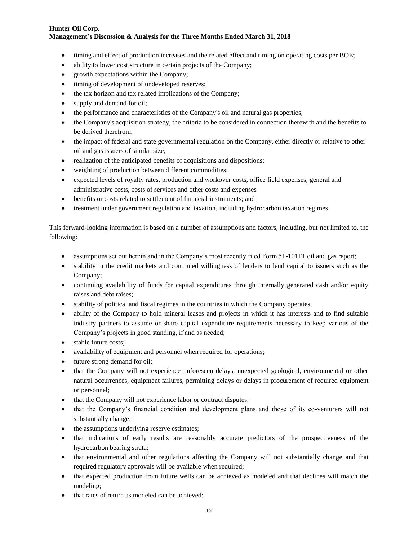- timing and effect of production increases and the related effect and timing on operating costs per BOE;
- ability to lower cost structure in certain projects of the Company;
- growth expectations within the Company;
- $\bullet$  timing of development of undeveloped reserves;
- the tax horizon and tax related implications of the Company;
- supply and demand for oil;
- the performance and characteristics of the Company's oil and natural gas properties;
- the Company's acquisition strategy, the criteria to be considered in connection therewith and the benefits to be derived therefrom;
- the impact of federal and state governmental regulation on the Company, either directly or relative to other oil and gas issuers of similar size;
- realization of the anticipated benefits of acquisitions and dispositions;
- weighting of production between different commodities;
- expected levels of royalty rates, production and workover costs, office field expenses, general and administrative costs, costs of services and other costs and expenses
- benefits or costs related to settlement of financial instruments; and
- treatment under government regulation and taxation, including hydrocarbon taxation regimes

This forward-looking information is based on a number of assumptions and factors, including, but not limited to, the following:

- assumptions set out herein and in the Company's most recently filed Form 51-101F1 oil and gas report;
- stability in the credit markets and continued willingness of lenders to lend capital to issuers such as the Company;
- continuing availability of funds for capital expenditures through internally generated cash and/or equity raises and debt raises;
- stability of political and fiscal regimes in the countries in which the Company operates;
- ability of the Company to hold mineral leases and projects in which it has interests and to find suitable industry partners to assume or share capital expenditure requirements necessary to keep various of the Company's projects in good standing, if and as needed;
- stable future costs;
- availability of equipment and personnel when required for operations;
- future strong demand for oil;
- that the Company will not experience unforeseen delays, unexpected geological, environmental or other natural occurrences, equipment failures, permitting delays or delays in procurement of required equipment or personnel;
- that the Company will not experience labor or contract disputes;
- that the Company's financial condition and development plans and those of its co-venturers will not substantially change;
- the assumptions underlying reserve estimates;
- that indications of early results are reasonably accurate predictors of the prospectiveness of the hydrocarbon bearing strata;
- that environmental and other regulations affecting the Company will not substantially change and that required regulatory approvals will be available when required;
- that expected production from future wells can be achieved as modeled and that declines will match the modeling;
- that rates of return as modeled can be achieved;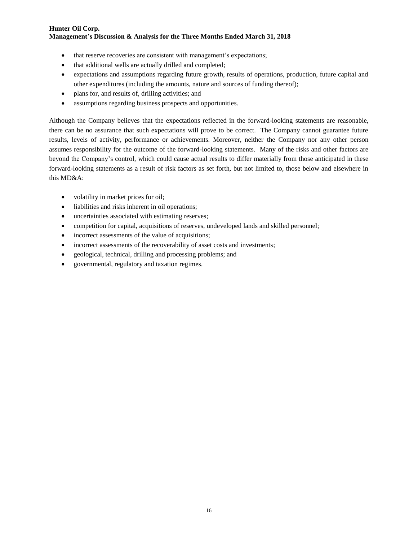- that reserve recoveries are consistent with management's expectations;
- that additional wells are actually drilled and completed;
- expectations and assumptions regarding future growth, results of operations, production, future capital and other expenditures (including the amounts, nature and sources of funding thereof);
- plans for, and results of, drilling activities; and
- assumptions regarding business prospects and opportunities.

Although the Company believes that the expectations reflected in the forward-looking statements are reasonable, there can be no assurance that such expectations will prove to be correct. The Company cannot guarantee future results, levels of activity, performance or achievements. Moreover, neither the Company nor any other person assumes responsibility for the outcome of the forward-looking statements. Many of the risks and other factors are beyond the Company's control, which could cause actual results to differ materially from those anticipated in these forward-looking statements as a result of risk factors as set forth, but not limited to, those below and elsewhere in this MD&A:

- volatility in market prices for oil;
- liabilities and risks inherent in oil operations;
- uncertainties associated with estimating reserves;
- competition for capital, acquisitions of reserves, undeveloped lands and skilled personnel;
- incorrect assessments of the value of acquisitions;
- incorrect assessments of the recoverability of asset costs and investments;
- geological, technical, drilling and processing problems; and
- governmental, regulatory and taxation regimes.